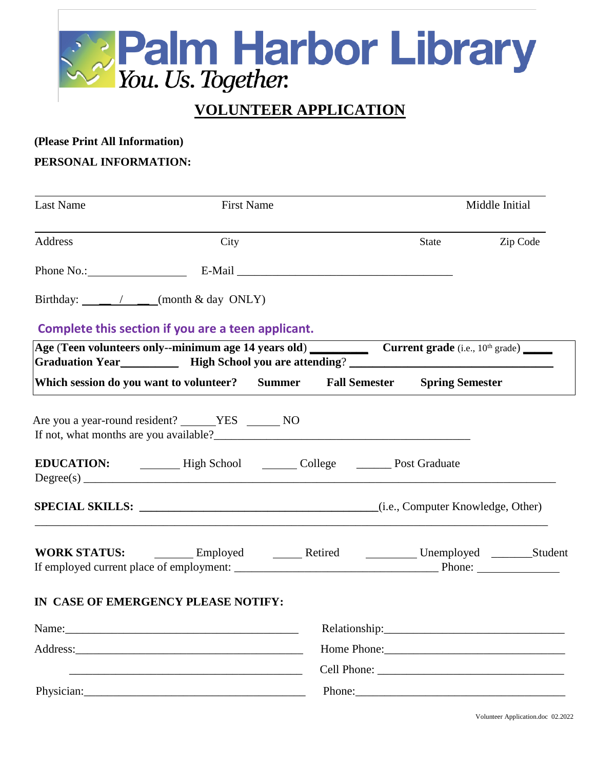

## **VOLUNTEER APPLICATION**

## **(Please Print All Information)**

## **PERSONAL INFORMATION:**

| Last Name  | <b>First Name</b>                                                                                                                                                                                                                             |        | Middle Initial |          |  |
|------------|-----------------------------------------------------------------------------------------------------------------------------------------------------------------------------------------------------------------------------------------------|--------|----------------|----------|--|
| Address    | City                                                                                                                                                                                                                                          |        | State          | Zip Code |  |
|            |                                                                                                                                                                                                                                               |        |                |          |  |
|            | Birthday: _____ / ___ (month & day ONLY)                                                                                                                                                                                                      |        |                |          |  |
|            | Complete this section if you are a teen applicant.                                                                                                                                                                                            |        |                |          |  |
|            | Age (Teen volunteers only--minimum age 14 years old) Current grade (i.e., 10 <sup>th</sup> grade)<br>Graduation Year <b>Markor High School you are attending? Markor High School you are attending? Markor High School you are attending?</b> |        |                |          |  |
|            | Which session do you want to volunteer? Summer Fall Semester Spring Semester                                                                                                                                                                  |        |                |          |  |
|            | Are you a year-round resident? ______YES ________ NO                                                                                                                                                                                          |        |                |          |  |
|            | EDUCATION: High School College Conserved Post Graduate<br>Degree(s)                                                                                                                                                                           |        |                |          |  |
|            |                                                                                                                                                                                                                                               |        |                |          |  |
|            |                                                                                                                                                                                                                                               |        |                |          |  |
|            | IN CASE OF EMERGENCY PLEASE NOTIFY:                                                                                                                                                                                                           |        |                |          |  |
|            |                                                                                                                                                                                                                                               |        |                |          |  |
|            |                                                                                                                                                                                                                                               |        |                |          |  |
|            | <u> 1989 - Johann Harry Harry Harry Harry Harry Harry Harry Harry Harry Harry Harry Harry Harry Harry Harry Harry</u>                                                                                                                         |        |                |          |  |
| Physician: |                                                                                                                                                                                                                                               | Phone: |                |          |  |